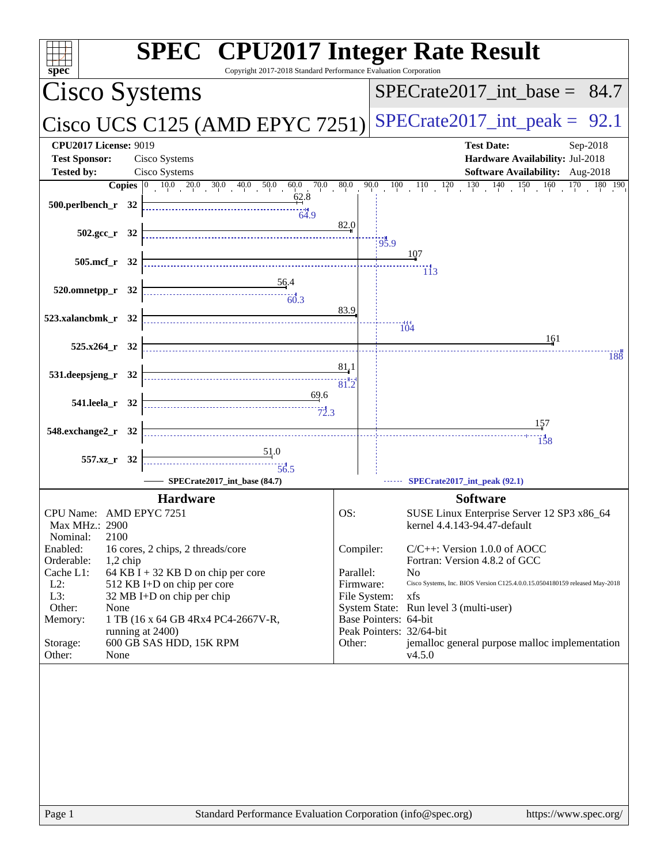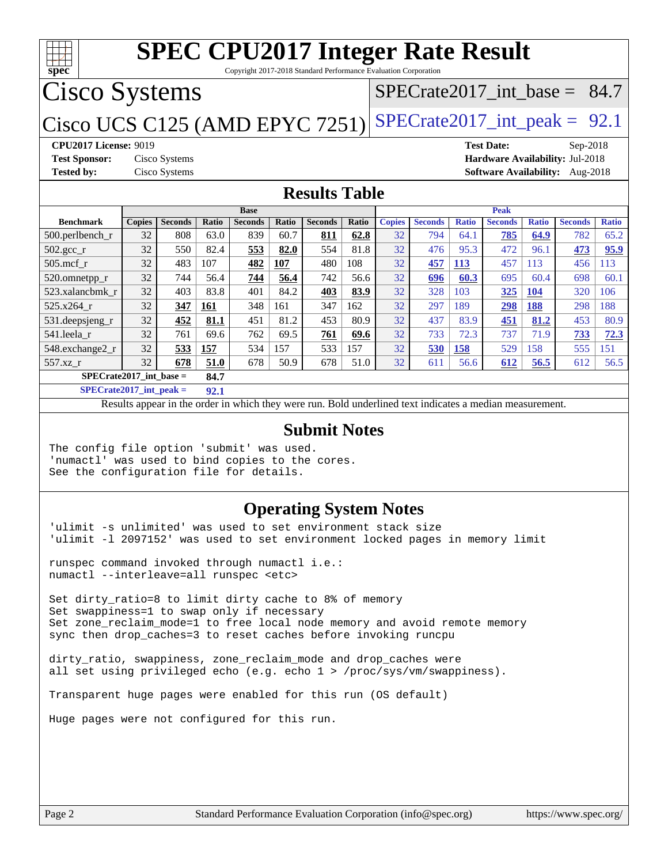

Copyright 2017-2018 Standard Performance Evaluation Corporation

## Cisco Systems

### [SPECrate2017\\_int\\_base =](http://www.spec.org/auto/cpu2017/Docs/result-fields.html#SPECrate2017intbase) 84.7

## Cisco UCS C125 (AMD EPYC 7251) SPECrate  $2017$ \_int\_peak = 92.1

**[CPU2017 License:](http://www.spec.org/auto/cpu2017/Docs/result-fields.html#CPU2017License)** 9019 **[Test Date:](http://www.spec.org/auto/cpu2017/Docs/result-fields.html#TestDate)** Sep-2018 **[Test Sponsor:](http://www.spec.org/auto/cpu2017/Docs/result-fields.html#TestSponsor)** Cisco Systems **[Hardware Availability:](http://www.spec.org/auto/cpu2017/Docs/result-fields.html#HardwareAvailability)** Jul-2018 **[Tested by:](http://www.spec.org/auto/cpu2017/Docs/result-fields.html#Testedby)** Cisco Systems **[Software Availability:](http://www.spec.org/auto/cpu2017/Docs/result-fields.html#SoftwareAvailability)** Aug-2018

#### **[Results Table](http://www.spec.org/auto/cpu2017/Docs/result-fields.html#ResultsTable)**

|                                   | <b>Base</b>   |                |       |                | <b>Peak</b> |                |              |               |                |              |                |              |                |              |
|-----------------------------------|---------------|----------------|-------|----------------|-------------|----------------|--------------|---------------|----------------|--------------|----------------|--------------|----------------|--------------|
| <b>Benchmark</b>                  | <b>Copies</b> | <b>Seconds</b> | Ratio | <b>Seconds</b> | Ratio       | <b>Seconds</b> | <b>Ratio</b> | <b>Copies</b> | <b>Seconds</b> | <b>Ratio</b> | <b>Seconds</b> | <b>Ratio</b> | <b>Seconds</b> | <b>Ratio</b> |
| $500.$ perlbench_r                | 32            | 808            | 63.0  | 839            | 60.7        | 811            | 62.8         | 32            | 794            | 64.1         | 785            | 64.9         | 782            | 65.2         |
| 502.gcc_r                         | 32            | 550            | 82.4  | 553            | 82.0        | 554            | 81.8         | 32            | 476            | 95.3         | 472            | 96.1         | 473            | 95.9         |
| $505$ .mcf r                      | 32            | 483            | 107   | 482            | 107         | 480            | 108          | 32            | 457            | 113          | 457            | 113          | 456            | 113          |
| 520.omnetpp_r                     | 32            | 744            | 56.4  | 744            | 56.4        | 742            | 56.6         | 32            | 696            | 60.3         | 695            | 60.4         | 698            | 60.1         |
| 523.xalancbmk r                   | 32            | 403            | 83.8  | 401            | 84.2        | 403            | 83.9         | 32            | 328            | 103          | 325            | <b>104</b>   | 320            | 106          |
| 525.x264 r                        | 32            | 347            | 161   | 348            | 161         | 347            | 162          | 32            | 297            | 189          | 298            | 188          | 298            | 188          |
| 531.deepsjeng_r                   | 32            | 452            | 81.1  | 451            | 81.2        | 453            | 80.9         | 32            | 437            | 83.9         | 451            | 81.2         | 453            | 80.9         |
| 541.leela r                       | 32            | 761            | 69.6  | 762            | 69.5        | 761            | 69.6         | 32            | 733            | 72.3         | 737            | 71.9         | 733            | 72.3         |
| 548.exchange2_r                   | 32            | 533            | 157   | 534            | 157         | 533            | 157          | 32            | 530            | 158          | 529            | 158          | 555            | 151          |
| 557.xz r                          | 32            | 678            | 51.0  | 678            | 50.9        | 678            | 51.0         | 32            | 611            | 56.6         | 612            | 56.5         | 612            | 56.5         |
| $SPECrate2017$ int base =<br>84.7 |               |                |       |                |             |                |              |               |                |              |                |              |                |              |

**[SPECrate2017\\_int\\_peak =](http://www.spec.org/auto/cpu2017/Docs/result-fields.html#SPECrate2017intpeak) 92.1**

Results appear in the [order in which they were run.](http://www.spec.org/auto/cpu2017/Docs/result-fields.html#RunOrder) Bold underlined text [indicates a median measurement.](http://www.spec.org/auto/cpu2017/Docs/result-fields.html#Median)

#### **[Submit Notes](http://www.spec.org/auto/cpu2017/Docs/result-fields.html#SubmitNotes)**

The config file option 'submit' was used. 'numactl' was used to bind copies to the cores. See the configuration file for details.

#### **[Operating System Notes](http://www.spec.org/auto/cpu2017/Docs/result-fields.html#OperatingSystemNotes)**

'ulimit -s unlimited' was used to set environment stack size 'ulimit -l 2097152' was used to set environment locked pages in memory limit

runspec command invoked through numactl i.e.: numactl --interleave=all runspec <etc>

Set dirty\_ratio=8 to limit dirty cache to 8% of memory Set swappiness=1 to swap only if necessary Set zone\_reclaim\_mode=1 to free local node memory and avoid remote memory sync then drop\_caches=3 to reset caches before invoking runcpu

```
dirty_ratio, swappiness, zone_reclaim_mode and drop_caches were
all set using privileged echo (e.g. echo 1 > /proc/sys/vm/swappiness).
```
Transparent huge pages were enabled for this run (OS default)

Huge pages were not configured for this run.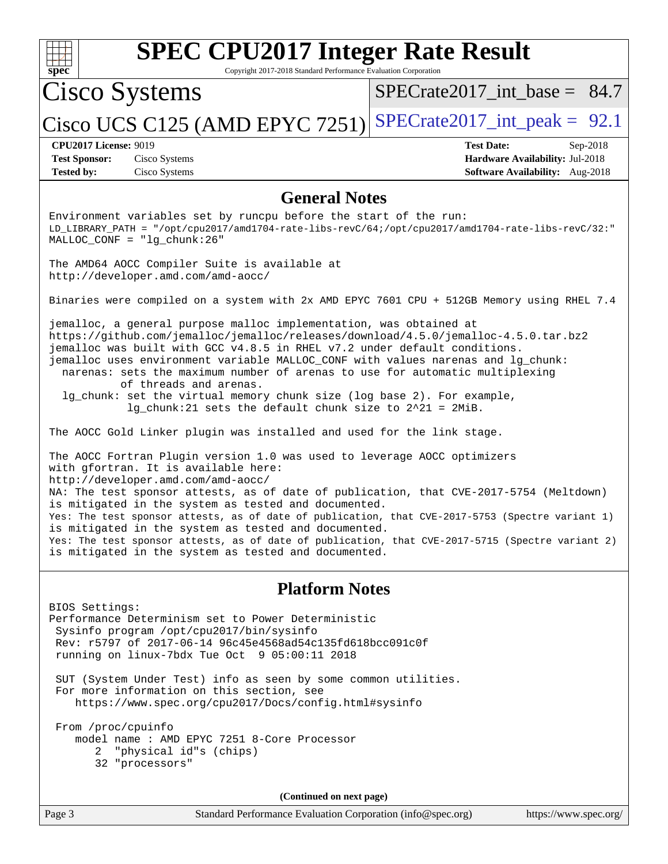| spe<br>U |  |  |  |  |  |  |
|----------|--|--|--|--|--|--|

Copyright 2017-2018 Standard Performance Evaluation Corporation

## Cisco Systems

[SPECrate2017\\_int\\_base =](http://www.spec.org/auto/cpu2017/Docs/result-fields.html#SPECrate2017intbase) 84.7

## Cisco UCS C125 (AMD EPYC 7251) [SPECrate2017\\_int\\_peak =](http://www.spec.org/auto/cpu2017/Docs/result-fields.html#SPECrate2017intpeak)  $92.1$

**[Tested by:](http://www.spec.org/auto/cpu2017/Docs/result-fields.html#Testedby)** Cisco Systems **[Software Availability:](http://www.spec.org/auto/cpu2017/Docs/result-fields.html#SoftwareAvailability)** Aug-2018

**[CPU2017 License:](http://www.spec.org/auto/cpu2017/Docs/result-fields.html#CPU2017License)** 9019 **[Test Date:](http://www.spec.org/auto/cpu2017/Docs/result-fields.html#TestDate)** Sep-2018 **[Test Sponsor:](http://www.spec.org/auto/cpu2017/Docs/result-fields.html#TestSponsor)** Cisco Systems **[Hardware Availability:](http://www.spec.org/auto/cpu2017/Docs/result-fields.html#HardwareAvailability)** Jul-2018

#### **[General Notes](http://www.spec.org/auto/cpu2017/Docs/result-fields.html#GeneralNotes)**

Environment variables set by runcpu before the start of the run: LD\_LIBRARY\_PATH = "/opt/cpu2017/amd1704-rate-libs-revC/64;/opt/cpu2017/amd1704-rate-libs-revC/32:" MALLOC\_CONF = "lg\_chunk:26"

The AMD64 AOCC Compiler Suite is available at <http://developer.amd.com/amd-aocc/>

Binaries were compiled on a system with 2x AMD EPYC 7601 CPU + 512GB Memory using RHEL 7.4

jemalloc, a general purpose malloc implementation, was obtained at <https://github.com/jemalloc/jemalloc/releases/download/4.5.0/jemalloc-4.5.0.tar.bz2> jemalloc was built with GCC v4.8.5 in RHEL v7.2 under default conditions. jemalloc uses environment variable MALLOC\_CONF with values narenas and lg\_chunk: narenas: sets the maximum number of arenas to use for automatic multiplexing of threads and arenas.

 lg\_chunk: set the virtual memory chunk size (log base 2). For example, lg\_chunk:21 sets the default chunk size to 2^21 = 2MiB.

The AOCC Gold Linker plugin was installed and used for the link stage.

The AOCC Fortran Plugin version 1.0 was used to leverage AOCC optimizers with gfortran. It is available here: <http://developer.amd.com/amd-aocc/> NA: The test sponsor attests, as of date of publication, that CVE-2017-5754 (Meltdown) is mitigated in the system as tested and documented. Yes: The test sponsor attests, as of date of publication, that CVE-2017-5753 (Spectre variant 1) is mitigated in the system as tested and documented. Yes: The test sponsor attests, as of date of publication, that CVE-2017-5715 (Spectre variant 2) is mitigated in the system as tested and documented.

### **[Platform Notes](http://www.spec.org/auto/cpu2017/Docs/result-fields.html#PlatformNotes)**

BIOS Settings: Performance Determinism set to Power Deterministic Sysinfo program /opt/cpu2017/bin/sysinfo Rev: r5797 of 2017-06-14 96c45e4568ad54c135fd618bcc091c0f running on linux-7bdx Tue Oct 9 05:00:11 2018

 SUT (System Under Test) info as seen by some common utilities. For more information on this section, see <https://www.spec.org/cpu2017/Docs/config.html#sysinfo>

 From /proc/cpuinfo model name : AMD EPYC 7251 8-Core Processor 2 "physical id"s (chips) 32 "processors"

**(Continued on next page)**

Page 3 Standard Performance Evaluation Corporation [\(info@spec.org\)](mailto:info@spec.org) <https://www.spec.org/>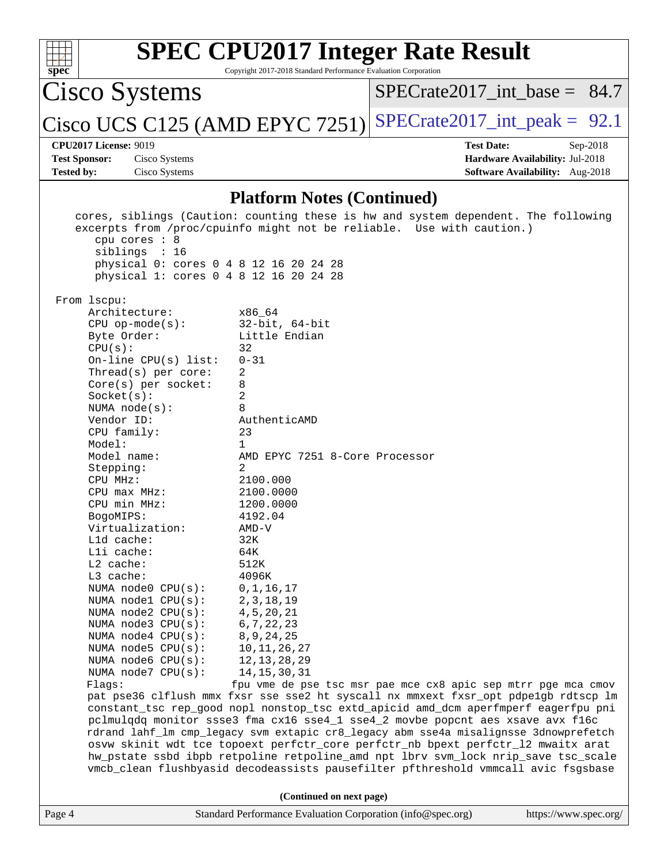| $\frac{1}{\text{spec}^*}$    | <b>SPEC CPU2017 Integer Rate Result</b><br>Copyright 2017-2018 Standard Performance Evaluation Corporation |  |                                  |            |  |  |  |
|------------------------------|------------------------------------------------------------------------------------------------------------|--|----------------------------------|------------|--|--|--|
|                              | Cisco Systems                                                                                              |  | $SPECrate2017\_int\_base = 84.7$ |            |  |  |  |
|                              | Cisco UCS C125 (AMD EPYC 7251) SPECrate2017_int_peak = $92.1$                                              |  |                                  |            |  |  |  |
| <b>CPU2017 License: 9019</b> |                                                                                                            |  | <b>Test Date:</b>                | $Sep-2018$ |  |  |  |
| <b>Test Sponsor:</b>         | Cisco Systems                                                                                              |  | Hardware Availability: Jul-2018  |            |  |  |  |
| <b>Tested by:</b>            | Cisco Systems                                                                                              |  | Software Availability: Aug-2018  |            |  |  |  |
|                              |                                                                                                            |  |                                  |            |  |  |  |

### **[Platform Notes \(Continued\)](http://www.spec.org/auto/cpu2017/Docs/result-fields.html#PlatformNotes)**

|             |                                                                                  | cores, siblings (Caution: counting these is hw and system dependent. The following<br>excerpts from /proc/cpuinfo might not be reliable. Use with caution.) |                       |
|-------------|----------------------------------------------------------------------------------|-------------------------------------------------------------------------------------------------------------------------------------------------------------|-----------------------|
|             | cpu cores $: 8$<br>siblings : 16                                                 |                                                                                                                                                             |                       |
|             | physical 0: cores 0 4 8 12 16 20 24 28<br>physical 1: cores 0 4 8 12 16 20 24 28 |                                                                                                                                                             |                       |
| From lscpu: |                                                                                  |                                                                                                                                                             |                       |
|             | Architecture:                                                                    | x86 64                                                                                                                                                      |                       |
|             | $CPU$ op-mode(s):                                                                | $32$ -bit, $64$ -bit                                                                                                                                        |                       |
|             | Byte Order:                                                                      | Little Endian                                                                                                                                               |                       |
|             | CPU(s):                                                                          | 32                                                                                                                                                          |                       |
|             | On-line CPU(s) list:                                                             | $0 - 31$                                                                                                                                                    |                       |
|             | Thread( $s$ ) per core:                                                          | 2                                                                                                                                                           |                       |
|             | $Core(s)$ per socket:                                                            | 8                                                                                                                                                           |                       |
|             | Socket(s):                                                                       | 2                                                                                                                                                           |                       |
|             | NUMA $node(s):$                                                                  | 8                                                                                                                                                           |                       |
|             | Vendor ID:                                                                       | AuthenticAMD                                                                                                                                                |                       |
|             | CPU family:                                                                      | 23                                                                                                                                                          |                       |
|             | Model:                                                                           | $\mathbf{1}$                                                                                                                                                |                       |
|             | Model name:                                                                      | AMD EPYC 7251 8-Core Processor                                                                                                                              |                       |
|             | Stepping:<br>CPU MHz:                                                            | 2<br>2100.000                                                                                                                                               |                       |
|             | $CPU$ max $MHz$ :                                                                |                                                                                                                                                             |                       |
|             | CPU min MHz:                                                                     | 2100.0000                                                                                                                                                   |                       |
|             |                                                                                  | 1200.0000                                                                                                                                                   |                       |
|             | BogoMIPS:<br>Virtualization:                                                     | 4192.04                                                                                                                                                     |                       |
|             | L1d cache:                                                                       | AMD-V<br>32K                                                                                                                                                |                       |
|             | Lli cache:                                                                       | 64K                                                                                                                                                         |                       |
|             | $L2$ cache:                                                                      | 512K                                                                                                                                                        |                       |
|             | $L3$ cache:                                                                      | 4096K                                                                                                                                                       |                       |
|             | NUMA node0 CPU(s):                                                               | 0, 1, 16, 17                                                                                                                                                |                       |
|             | NUMA nodel CPU(s):                                                               | 2, 3, 18, 19                                                                                                                                                |                       |
|             | NUMA $node2$ $CPU(s):$                                                           | 4, 5, 20, 21                                                                                                                                                |                       |
|             | NUMA node3 CPU(s):                                                               | 6, 7, 22, 23                                                                                                                                                |                       |
|             | NUMA node4 CPU(s):                                                               | 8, 9, 24, 25                                                                                                                                                |                       |
|             | NUMA $node5$ $CPU(s):$                                                           | 10, 11, 26, 27                                                                                                                                              |                       |
|             | NUMA node6 CPU(s):                                                               | 12, 13, 28, 29                                                                                                                                              |                       |
|             | NUMA node7 CPU(s):                                                               | 14, 15, 30, 31                                                                                                                                              |                       |
|             | Flags:                                                                           | fpu vme de pse tsc msr pae mce cx8 apic sep mtrr pge mca cmov                                                                                               |                       |
|             |                                                                                  | pat pse36 clflush mmx fxsr sse sse2 ht syscall nx mmxext fxsr_opt pdpelgb rdtscp lm                                                                         |                       |
|             |                                                                                  | constant_tsc rep_good nopl nonstop_tsc extd_apicid amd_dcm aperfmperf eagerfpu pni                                                                          |                       |
|             |                                                                                  | pclmulqdq monitor ssse3 fma cx16 sse4_1 sse4_2 movbe popcnt aes xsave avx f16c                                                                              |                       |
|             |                                                                                  | rdrand lahf_lm cmp_legacy svm extapic cr8_legacy abm sse4a misalignsse 3dnowprefetch                                                                        |                       |
|             |                                                                                  | osvw skinit wdt tce topoext perfctr_core perfctr_nb bpext perfctr_12 mwaitx arat                                                                            |                       |
|             |                                                                                  | hw_pstate ssbd ibpb retpoline retpoline_amd npt lbrv svm_lock nrip_save tsc_scale                                                                           |                       |
|             |                                                                                  | vmcb_clean flushbyasid decodeassists pausefilter pfthreshold vmmcall avic fsgsbase                                                                          |                       |
|             |                                                                                  | (Continued on next page)                                                                                                                                    |                       |
| Page 4      |                                                                                  | Standard Performance Evaluation Corporation (info@spec.org)                                                                                                 | https://www.spec.org/ |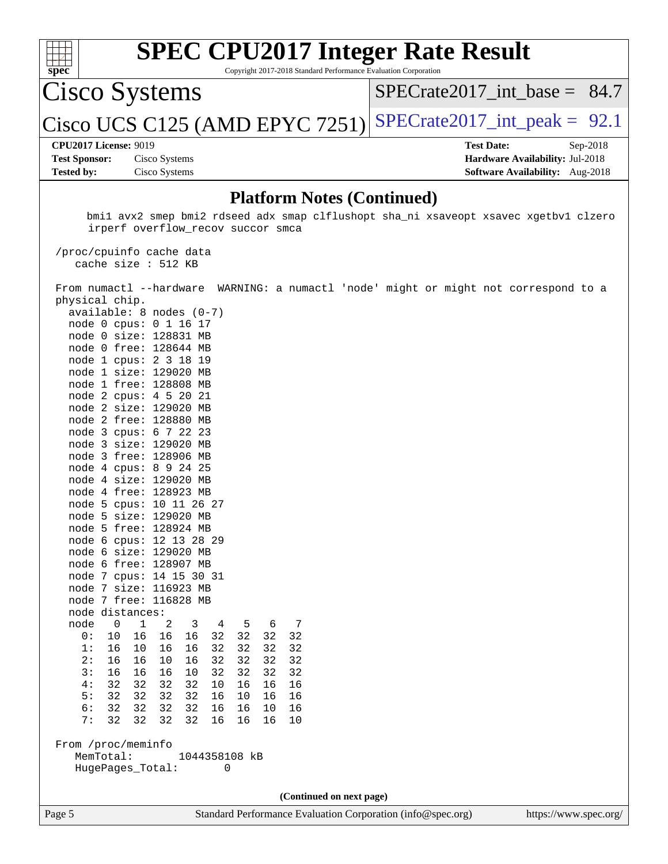

Copyright 2017-2018 Standard Performance Evaluation Corporation

Cisco Systems

SPECrate2017 int\_base =  $84.7$ 

Cisco UCS C125 (AMD EPYC 7251) SPECrate  $2017$ \_int\_peak = 92.1

#### **[CPU2017 License:](http://www.spec.org/auto/cpu2017/Docs/result-fields.html#CPU2017License)** 9019 **[Test Date:](http://www.spec.org/auto/cpu2017/Docs/result-fields.html#TestDate)** Sep-2018

**[Test Sponsor:](http://www.spec.org/auto/cpu2017/Docs/result-fields.html#TestSponsor)** Cisco Systems **[Hardware Availability:](http://www.spec.org/auto/cpu2017/Docs/result-fields.html#HardwareAvailability)** Jul-2018 **[Tested by:](http://www.spec.org/auto/cpu2017/Docs/result-fields.html#Testedby)** Cisco Systems **[Software Availability:](http://www.spec.org/auto/cpu2017/Docs/result-fields.html#SoftwareAvailability)** Aug-2018

#### **[Platform Notes \(Continued\)](http://www.spec.org/auto/cpu2017/Docs/result-fields.html#PlatformNotes)**

 bmi1 avx2 smep bmi2 rdseed adx smap clflushopt sha\_ni xsaveopt xsavec xgetbv1 clzero irperf overflow\_recov succor smca

 /proc/cpuinfo cache data cache size : 512 KB

 From numactl --hardware WARNING: a numactl 'node' might or might not correspond to a physical chip. available: 8 nodes (0-7)

**(Continued on next page)**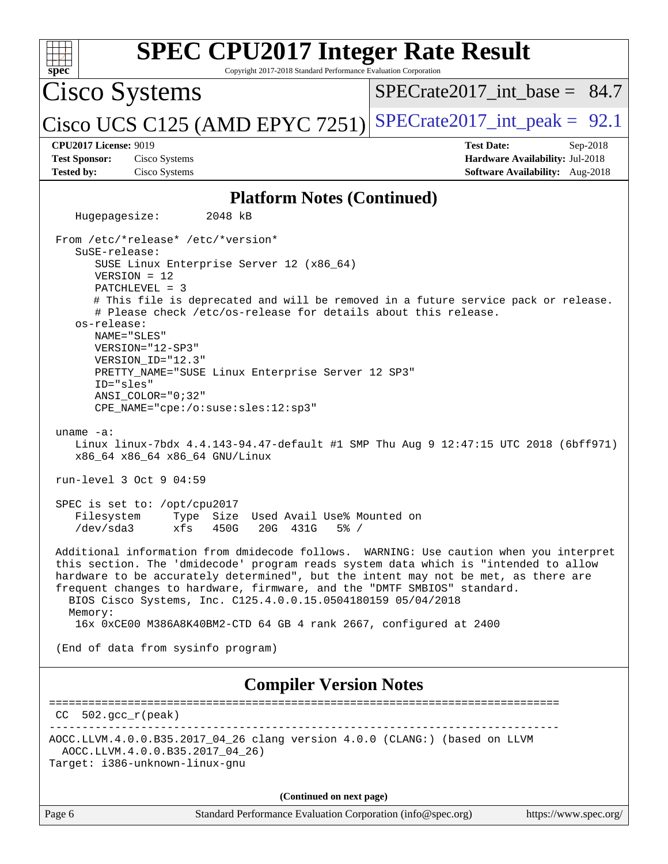| spec                                                                                                                                                                                                                                                                                                                                          | <b>SPEC CPU2017 Integer Rate Result</b><br>Copyright 2017-2018 Standard Performance Evaluation Corporation                                                                                                                                                                                                                                                                                                          |
|-----------------------------------------------------------------------------------------------------------------------------------------------------------------------------------------------------------------------------------------------------------------------------------------------------------------------------------------------|---------------------------------------------------------------------------------------------------------------------------------------------------------------------------------------------------------------------------------------------------------------------------------------------------------------------------------------------------------------------------------------------------------------------|
| Cisco Systems                                                                                                                                                                                                                                                                                                                                 | $SPECrate2017$ int base = 84.7                                                                                                                                                                                                                                                                                                                                                                                      |
| $ Cisco UCS C125$ (AMD EPYC 7251)                                                                                                                                                                                                                                                                                                             | $SPECrate2017\_int\_peak = 92.1$                                                                                                                                                                                                                                                                                                                                                                                    |
| <b>CPU2017 License: 9019</b><br><b>Test Sponsor:</b><br>Cisco Systems<br><b>Tested by:</b><br>Cisco Systems                                                                                                                                                                                                                                   | <b>Test Date:</b><br>Sep-2018<br>Hardware Availability: Jul-2018<br>Software Availability: Aug-2018                                                                                                                                                                                                                                                                                                                 |
|                                                                                                                                                                                                                                                                                                                                               |                                                                                                                                                                                                                                                                                                                                                                                                                     |
| Hugepagesize:<br>2048 kB                                                                                                                                                                                                                                                                                                                      | <b>Platform Notes (Continued)</b>                                                                                                                                                                                                                                                                                                                                                                                   |
| From /etc/*release* /etc/*version*<br>SuSE-release:<br>SUSE Linux Enterprise Server 12 (x86_64)<br>$VERSION = 12$<br>PATCHLEVEL = 3<br>os-release:<br>NAME="SLES"<br>VERSION="12-SP3"<br>VERSION_ID="12.3"<br>PRETTY_NAME="SUSE Linux Enterprise Server 12 SP3"<br>ID="sles"<br>$ANSI\_COLOR = "0; 32"$<br>CPE_NAME="cpe:/o:suse:sles:12:sp3" | # This file is deprecated and will be removed in a future service pack or release.<br># Please check /etc/os-release for details about this release.                                                                                                                                                                                                                                                                |
| uname $-a$ :<br>x86_64 x86_64 x86_64 GNU/Linux                                                                                                                                                                                                                                                                                                | Linux linux-7bdx 4.4.143-94.47-default #1 SMP Thu Aug 9 12:47:15 UTC 2018 (6bff971)                                                                                                                                                                                                                                                                                                                                 |
| run-level 3 Oct 9 04:59                                                                                                                                                                                                                                                                                                                       |                                                                                                                                                                                                                                                                                                                                                                                                                     |
| SPEC is set to: /opt/cpu2017<br>Filesystem<br>/dev/sda3<br>xfs<br>450G                                                                                                                                                                                                                                                                        | Type Size Used Avail Use% Mounted on<br>20G 431G<br>$5\%$ /                                                                                                                                                                                                                                                                                                                                                         |
| BIOS Cisco Systems, Inc. C125.4.0.0.15.0504180159 05/04/2018<br>Memory:<br>(End of data from sysinfo program)                                                                                                                                                                                                                                 | Additional information from dmidecode follows. WARNING: Use caution when you interpret<br>this section. The 'dmidecode' program reads system data which is "intended to allow<br>hardware to be accurately determined", but the intent may not be met, as there are<br>frequent changes to hardware, firmware, and the "DMTF SMBIOS" standard.<br>16x 0xCE00 M386A8K40BM2-CTD 64 GB 4 rank 2667, configured at 2400 |
|                                                                                                                                                                                                                                                                                                                                               |                                                                                                                                                                                                                                                                                                                                                                                                                     |
|                                                                                                                                                                                                                                                                                                                                               | <b>Compiler Version Notes</b>                                                                                                                                                                                                                                                                                                                                                                                       |
| $CC 502.gcc_r (peak)$                                                                                                                                                                                                                                                                                                                         | _____________________________________                                                                                                                                                                                                                                                                                                                                                                               |
| AOCC.LLVM.4.0.0.B35.2017_04_26)<br>Target: i386-unknown-linux-gnu                                                                                                                                                                                                                                                                             | AOCC.LLVM.4.0.0.B35.2017_04_26 clang version 4.0.0 (CLANG:) (based on LLVM                                                                                                                                                                                                                                                                                                                                          |
|                                                                                                                                                                                                                                                                                                                                               | (Continued on next page)                                                                                                                                                                                                                                                                                                                                                                                            |
| Page 6                                                                                                                                                                                                                                                                                                                                        | Standard Performance Evaluation Corporation (info@spec.org)<br>https://www.spec.org/                                                                                                                                                                                                                                                                                                                                |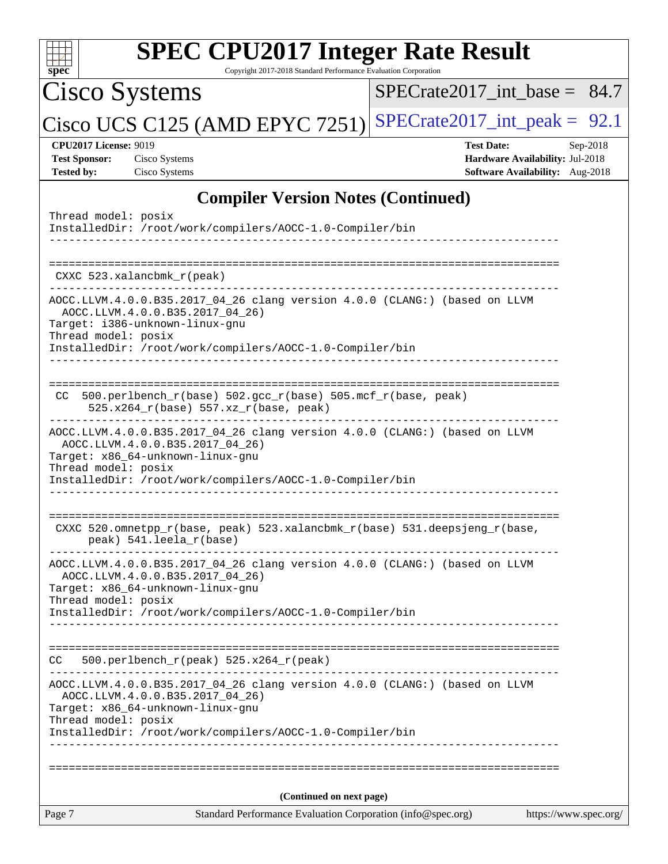| <b>SPEC CPU2017 Integer Rate Result</b><br>Copyright 2017-2018 Standard Performance Evaluation Corporation<br>spec <sup>®</sup>                                                                                                      |                                                                                                       |
|--------------------------------------------------------------------------------------------------------------------------------------------------------------------------------------------------------------------------------------|-------------------------------------------------------------------------------------------------------|
| <b>Cisco Systems</b>                                                                                                                                                                                                                 | SPECrate2017 int base = $84.7$                                                                        |
| Cisco UCS C125 (AMD EPYC 7251)                                                                                                                                                                                                       | $SPECrate2017\_int\_peak = 92.1$                                                                      |
| <b>CPU2017 License: 9019</b><br><b>Test Sponsor:</b><br>Cisco Systems<br>Cisco Systems<br><b>Tested by:</b>                                                                                                                          | <b>Test Date:</b><br>$Sep-2018$<br>Hardware Availability: Jul-2018<br>Software Availability: Aug-2018 |
| <b>Compiler Version Notes (Continued)</b>                                                                                                                                                                                            |                                                                                                       |
| Thread model: posix<br>InstalledDir: /root/work/compilers/AOCC-1.0-Compiler/bin                                                                                                                                                      |                                                                                                       |
| CXXC 523.xalancbmk_r(peak)                                                                                                                                                                                                           |                                                                                                       |
| AOCC.LLVM.4.0.0.B35.2017_04_26 clang version 4.0.0 (CLANG:) (based on LLVM<br>AOCC.LLVM.4.0.0.B35.2017_04_26)<br>Target: i386-unknown-linux-gnu<br>Thread model: posix<br>InstalledDir: /root/work/compilers/AOCC-1.0-Compiler/bin   |                                                                                                       |
| 500.perlbench_r(base) 502.gcc_r(base) 505.mcf_r(base, peak)<br>CC<br>525.x264_r(base) 557.xz_r(base, peak)                                                                                                                           |                                                                                                       |
| AOCC.LLVM.4.0.0.B35.2017_04_26 clang version 4.0.0 (CLANG:) (based on LLVM<br>AOCC.LLVM.4.0.0.B35.2017_04_26)<br>Target: x86_64-unknown-linux-gnu<br>Thread model: posix<br>InstalledDir: /root/work/compilers/AOCC-1.0-Compiler/bin |                                                                                                       |
| CXXC 520.omnetpp_r(base, peak) 523.xalancbmk_r(base) 531.deepsjeng_r(base,<br>peak) 541.leela_r(base)                                                                                                                                |                                                                                                       |
| AOCC.LLVM.4.0.0.B35.2017_04_26 clang version 4.0.0 (CLANG:) (based on LLVM<br>AOCC.LLVM.4.0.0.B35.2017_04_26)<br>Target: x86_64-unknown-linux-gnu<br>Thread model: posix<br>InstalledDir: /root/work/compilers/AOCC-1.0-Compiler/bin |                                                                                                       |
| $500. perlbench_r (peak) 525.x264_r (peak)$<br>CC                                                                                                                                                                                    |                                                                                                       |
| AOCC.LLVM.4.0.0.B35.2017_04_26 clang version 4.0.0 (CLANG:) (based on LLVM<br>AOCC.LLVM.4.0.0.B35.2017_04_26)<br>Target: x86_64-unknown-linux-gnu<br>Thread model: posix<br>InstalledDir: /root/work/compilers/AOCC-1.0-Compiler/bin |                                                                                                       |
|                                                                                                                                                                                                                                      |                                                                                                       |
| (Continued on next page)                                                                                                                                                                                                             |                                                                                                       |
| Page 7<br>Standard Performance Evaluation Corporation (info@spec.org)                                                                                                                                                                | https://www.spec.org/                                                                                 |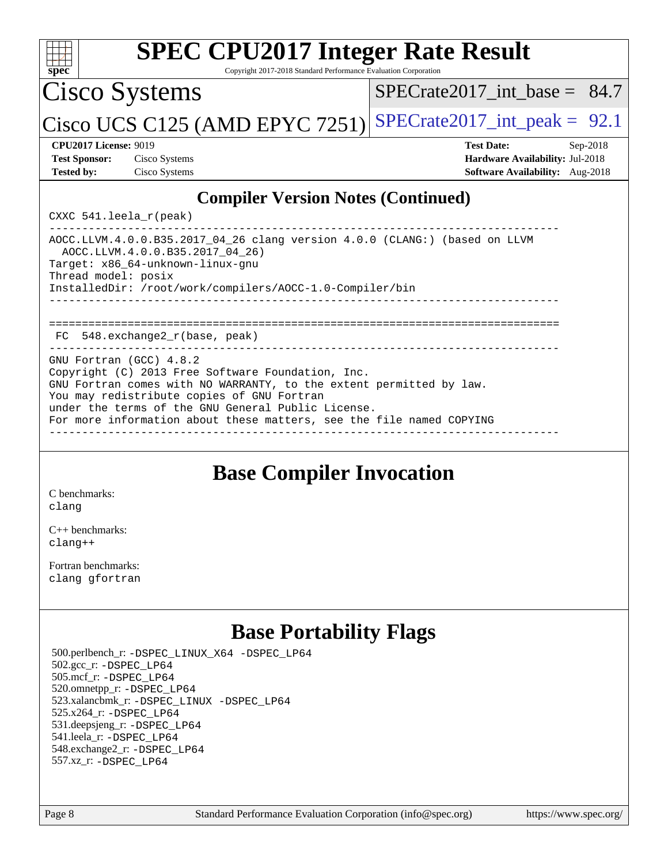| <b>SPEC CPU2017 Integer Rate Result</b><br>spec <sup>®</sup><br>Copyright 2017-2018 Standard Performance Evaluation Corporation                                                                                                                                                                                                 |                                                                                                              |
|---------------------------------------------------------------------------------------------------------------------------------------------------------------------------------------------------------------------------------------------------------------------------------------------------------------------------------|--------------------------------------------------------------------------------------------------------------|
| Cisco Systems                                                                                                                                                                                                                                                                                                                   | $SPECrate2017$ int base = 84.7                                                                               |
| Cisco UCS C125 (AMD EPYC 7251)                                                                                                                                                                                                                                                                                                  | $SPECrate2017\_int\_peak = 92.1$                                                                             |
| <b>CPU2017 License: 9019</b><br><b>Test Sponsor:</b><br>Cisco Systems<br><b>Tested by:</b><br>Cisco Systems                                                                                                                                                                                                                     | <b>Test Date:</b><br>$Sep-2018$<br>Hardware Availability: Jul-2018<br><b>Software Availability:</b> Aug-2018 |
| <b>Compiler Version Notes (Continued)</b><br>CXXC $541$ .leela $r$ (peak)                                                                                                                                                                                                                                                       |                                                                                                              |
| AOCC.LLVM.4.0.0.B35.2017_04_26 clang version 4.0.0 (CLANG:) (based on LLVM<br>AOCC.LLVM.4.0.0.B35.2017_04_26)<br>Target: x86_64-unknown-linux-gnu<br>Thread model: posix<br>InstalledDir: /root/work/compilers/AOCC-1.0-Compiler/bin                                                                                            |                                                                                                              |
| 548.exchange2_r(base, peak)<br>FC.                                                                                                                                                                                                                                                                                              |                                                                                                              |
| GNU Fortran (GCC) 4.8.2<br>Copyright (C) 2013 Free Software Foundation, Inc.<br>GNU Fortran comes with NO WARRANTY, to the extent permitted by law.<br>You may redistribute copies of GNU Fortran<br>under the terms of the GNU General Public License.<br>For more information about these matters, see the file named COPYING |                                                                                                              |

## **[Base Compiler Invocation](http://www.spec.org/auto/cpu2017/Docs/result-fields.html#BaseCompilerInvocation)**

[C benchmarks](http://www.spec.org/auto/cpu2017/Docs/result-fields.html#Cbenchmarks): [clang](http://www.spec.org/cpu2017/results/res2018q4/cpu2017-20181016-09250.flags.html#user_CCbase_Fclang3)

[C++ benchmarks:](http://www.spec.org/auto/cpu2017/Docs/result-fields.html#CXXbenchmarks) [clang++](http://www.spec.org/cpu2017/results/res2018q4/cpu2017-20181016-09250.flags.html#user_CXXbase_Fclang3_57a48582e5be507d19b2527b3e7d4f85d9b8669ffc9a8a0dbb9bcf949a918a58bbab411e0c4d14a3922022a3e425a90db94042683824c1806feff4324ca1000d)

[Fortran benchmarks](http://www.spec.org/auto/cpu2017/Docs/result-fields.html#Fortranbenchmarks): [clang](http://www.spec.org/cpu2017/results/res2018q4/cpu2017-20181016-09250.flags.html#user_FCbase_Fclang3) [gfortran](http://www.spec.org/cpu2017/results/res2018q4/cpu2017-20181016-09250.flags.html#user_FCbase_Fgfortran_128c91a56d61ddb07404721e65b8f9498c31a443dacbd3b7f212891090eca86e2d099b520f75b99e9e8ac4fdec01f4d15f0b65e47123ec4c42b0759045731a1f)

## **[Base Portability Flags](http://www.spec.org/auto/cpu2017/Docs/result-fields.html#BasePortabilityFlags)**

 500.perlbench\_r: [-DSPEC\\_LINUX\\_X64](http://www.spec.org/cpu2017/results/res2018q4/cpu2017-20181016-09250.flags.html#b500.perlbench_r_basePORTABILITY_DSPEC_LINUX_X64) [-DSPEC\\_LP64](http://www.spec.org/cpu2017/results/res2018q4/cpu2017-20181016-09250.flags.html#b500.perlbench_r_baseEXTRA_PORTABILITY_DSPEC_LP64) 502.gcc\_r: [-DSPEC\\_LP64](http://www.spec.org/cpu2017/results/res2018q4/cpu2017-20181016-09250.flags.html#suite_baseEXTRA_PORTABILITY502_gcc_r_DSPEC_LP64) 505.mcf\_r: [-DSPEC\\_LP64](http://www.spec.org/cpu2017/results/res2018q4/cpu2017-20181016-09250.flags.html#suite_baseEXTRA_PORTABILITY505_mcf_r_DSPEC_LP64) 520.omnetpp\_r: [-DSPEC\\_LP64](http://www.spec.org/cpu2017/results/res2018q4/cpu2017-20181016-09250.flags.html#suite_baseEXTRA_PORTABILITY520_omnetpp_r_DSPEC_LP64) 523.xalancbmk\_r: [-DSPEC\\_LINUX](http://www.spec.org/cpu2017/results/res2018q4/cpu2017-20181016-09250.flags.html#b523.xalancbmk_r_basePORTABILITY_DSPEC_LINUX) [-DSPEC\\_LP64](http://www.spec.org/cpu2017/results/res2018q4/cpu2017-20181016-09250.flags.html#suite_baseEXTRA_PORTABILITY523_xalancbmk_r_DSPEC_LP64) 525.x264\_r: [-DSPEC\\_LP64](http://www.spec.org/cpu2017/results/res2018q4/cpu2017-20181016-09250.flags.html#suite_baseEXTRA_PORTABILITY525_x264_r_DSPEC_LP64) 531.deepsjeng\_r: [-DSPEC\\_LP64](http://www.spec.org/cpu2017/results/res2018q4/cpu2017-20181016-09250.flags.html#suite_baseEXTRA_PORTABILITY531_deepsjeng_r_DSPEC_LP64) 541.leela\_r: [-DSPEC\\_LP64](http://www.spec.org/cpu2017/results/res2018q4/cpu2017-20181016-09250.flags.html#suite_baseEXTRA_PORTABILITY541_leela_r_DSPEC_LP64) 548.exchange2\_r: [-DSPEC\\_LP64](http://www.spec.org/cpu2017/results/res2018q4/cpu2017-20181016-09250.flags.html#suite_baseEXTRA_PORTABILITY548_exchange2_r_DSPEC_LP64) 557.xz\_r: [-DSPEC\\_LP64](http://www.spec.org/cpu2017/results/res2018q4/cpu2017-20181016-09250.flags.html#suite_baseEXTRA_PORTABILITY557_xz_r_DSPEC_LP64)

Page 8 Standard Performance Evaluation Corporation [\(info@spec.org\)](mailto:info@spec.org) <https://www.spec.org/>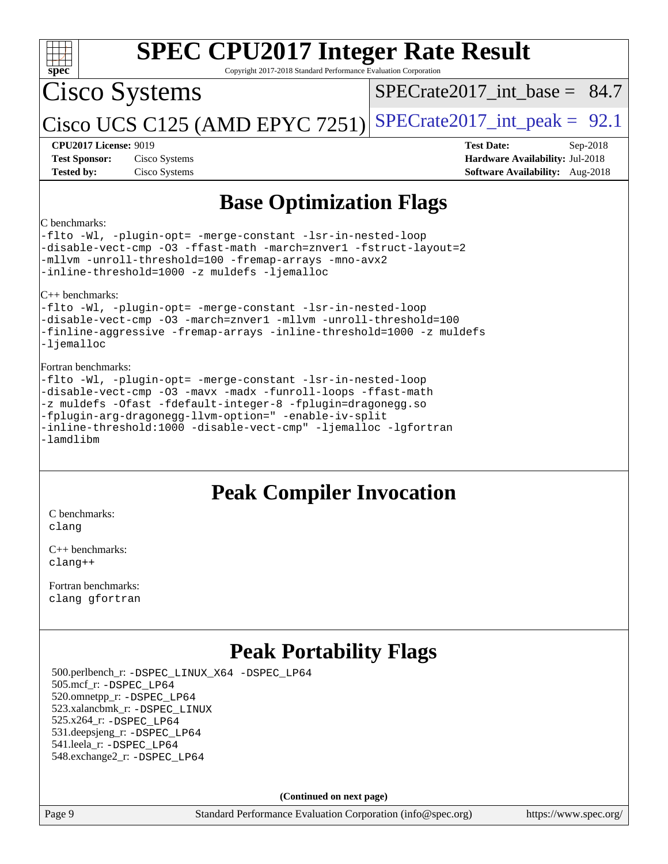| <b>SPEC CPU2017 Integer Rate Result</b><br>spec <sup>®</sup><br>Copyright 2017-2018 Standard Performance Evaluation Corporation                                                                                                                                                                                                                              |                                                                                                            |  |  |  |  |  |
|--------------------------------------------------------------------------------------------------------------------------------------------------------------------------------------------------------------------------------------------------------------------------------------------------------------------------------------------------------------|------------------------------------------------------------------------------------------------------------|--|--|--|--|--|
| Cisco Systems                                                                                                                                                                                                                                                                                                                                                | $SPECrate2017\_int\_base = 84.7$                                                                           |  |  |  |  |  |
| Cisco UCS C125 (AMD EPYC 7251)                                                                                                                                                                                                                                                                                                                               | $SPECrate2017\_int\_peak = 92.1$                                                                           |  |  |  |  |  |
| <b>CPU2017 License: 9019</b><br><b>Test Sponsor:</b><br>Cisco Systems<br><b>Tested by:</b><br>Cisco Systems                                                                                                                                                                                                                                                  | <b>Test Date:</b><br>Sep-2018<br>Hardware Availability: Jul-2018<br><b>Software Availability:</b> Aug-2018 |  |  |  |  |  |
| <b>Base Optimization Flags</b>                                                                                                                                                                                                                                                                                                                               |                                                                                                            |  |  |  |  |  |
| C benchmarks:<br>-flto -Wl, -plugin-opt= -merge-constant -lsr-in-nested-loop<br>-disable-vect-cmp -03 -ffast-math -march=znver1 -fstruct-layout=2<br>-mllvm -unroll-threshold=100 -fremap-arrays -mno-avx2<br>-inline-threshold=1000 -z muldefs -ljemalloc                                                                                                   |                                                                                                            |  |  |  |  |  |
| $ C_{++}\rangle$ benchmarks:<br>-flto -Wl, -plugin-opt= -merge-constant -lsr-in-nested-loop<br>-disable-vect-cmp -03 -march=znver1 -mllvm -unroll-threshold=100<br>-finline-aggressive -fremap-arrays -inline-threshold=1000 -z muldefs<br>-ljemalloc                                                                                                        |                                                                                                            |  |  |  |  |  |
| Fortran benchmarks:<br>-flto -Wl, -plugin-opt= -merge-constant -lsr-in-nested-loop<br>-disable-vect-cmp -03 -mavx -madx -funroll-loops -ffast-math<br>-z muldefs -Ofast -fdefault-integer-8 -fplugin=dragonegg.so<br>-fplugin-arg-dragonegg-llvm-option=" -enable-iv-split<br>-inline-threshold:1000 -disable-vect-cmp" -ljemalloc -lgfortran<br>$-lamdlibm$ |                                                                                                            |  |  |  |  |  |
| <b>Peak Compiler Invocation</b>                                                                                                                                                                                                                                                                                                                              |                                                                                                            |  |  |  |  |  |
| C benchmarks:                                                                                                                                                                                                                                                                                                                                                |                                                                                                            |  |  |  |  |  |
| clang<br>$C++$ benchmarks:                                                                                                                                                                                                                                                                                                                                   |                                                                                                            |  |  |  |  |  |
| $clang++$                                                                                                                                                                                                                                                                                                                                                    |                                                                                                            |  |  |  |  |  |
| Fortran benchmarks:<br>clang gfortran                                                                                                                                                                                                                                                                                                                        |                                                                                                            |  |  |  |  |  |
|                                                                                                                                                                                                                                                                                                                                                              |                                                                                                            |  |  |  |  |  |

## **[Peak Portability Flags](http://www.spec.org/auto/cpu2017/Docs/result-fields.html#PeakPortabilityFlags)**

 500.perlbench\_r: [-DSPEC\\_LINUX\\_X64](http://www.spec.org/cpu2017/results/res2018q4/cpu2017-20181016-09250.flags.html#b500.perlbench_r_peakPORTABILITY_DSPEC_LINUX_X64) [-DSPEC\\_LP64](http://www.spec.org/cpu2017/results/res2018q4/cpu2017-20181016-09250.flags.html#b500.perlbench_r_peakEXTRA_PORTABILITY_DSPEC_LP64) 505.mcf\_r: [-DSPEC\\_LP64](http://www.spec.org/cpu2017/results/res2018q4/cpu2017-20181016-09250.flags.html#suite_peakEXTRA_PORTABILITY505_mcf_r_DSPEC_LP64) 520.omnetpp\_r: [-DSPEC\\_LP64](http://www.spec.org/cpu2017/results/res2018q4/cpu2017-20181016-09250.flags.html#suite_peakEXTRA_PORTABILITY520_omnetpp_r_DSPEC_LP64) 523.xalancbmk\_r: [-DSPEC\\_LINUX](http://www.spec.org/cpu2017/results/res2018q4/cpu2017-20181016-09250.flags.html#b523.xalancbmk_r_peakPORTABILITY_DSPEC_LINUX) 525.x264\_r: [-DSPEC\\_LP64](http://www.spec.org/cpu2017/results/res2018q4/cpu2017-20181016-09250.flags.html#suite_peakEXTRA_PORTABILITY525_x264_r_DSPEC_LP64) 531.deepsjeng\_r: [-DSPEC\\_LP64](http://www.spec.org/cpu2017/results/res2018q4/cpu2017-20181016-09250.flags.html#suite_peakEXTRA_PORTABILITY531_deepsjeng_r_DSPEC_LP64) 541.leela\_r: [-DSPEC\\_LP64](http://www.spec.org/cpu2017/results/res2018q4/cpu2017-20181016-09250.flags.html#suite_peakEXTRA_PORTABILITY541_leela_r_DSPEC_LP64) 548.exchange2\_r: [-DSPEC\\_LP64](http://www.spec.org/cpu2017/results/res2018q4/cpu2017-20181016-09250.flags.html#suite_peakEXTRA_PORTABILITY548_exchange2_r_DSPEC_LP64)

**(Continued on next page)**

Page 9 Standard Performance Evaluation Corporation [\(info@spec.org\)](mailto:info@spec.org) <https://www.spec.org/>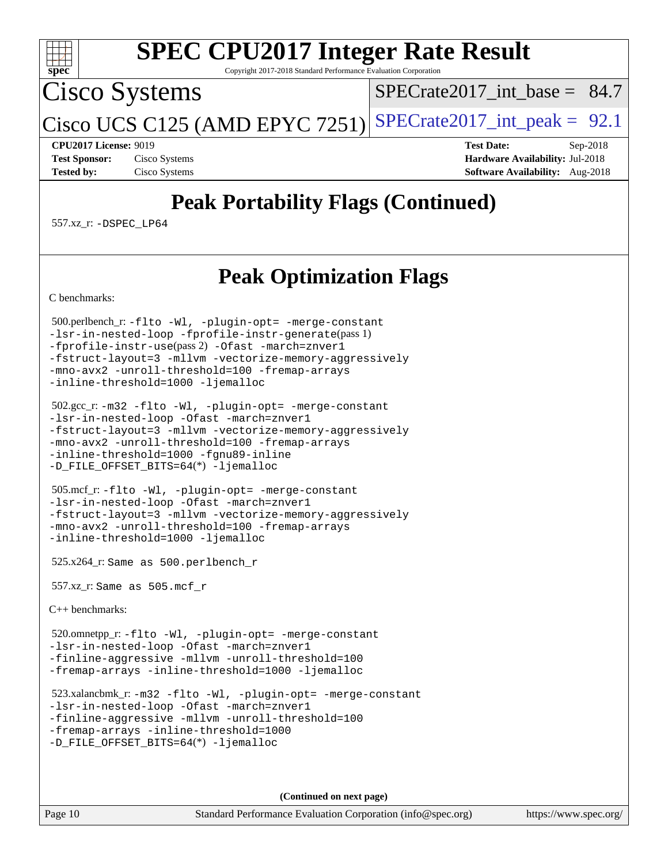

Copyright 2017-2018 Standard Performance Evaluation Corporation

Cisco Systems

 $SPECTate2017\_int\_base = 84.7$ 

Cisco UCS C125 (AMD EPYC 7251) SPECrate  $2017$ \_int\_peak = 92.1

**[CPU2017 License:](http://www.spec.org/auto/cpu2017/Docs/result-fields.html#CPU2017License)** 9019 **[Test Date:](http://www.spec.org/auto/cpu2017/Docs/result-fields.html#TestDate)** Sep-2018 **[Test Sponsor:](http://www.spec.org/auto/cpu2017/Docs/result-fields.html#TestSponsor)** Cisco Systems **[Hardware Availability:](http://www.spec.org/auto/cpu2017/Docs/result-fields.html#HardwareAvailability)** Jul-2018 **[Tested by:](http://www.spec.org/auto/cpu2017/Docs/result-fields.html#Testedby)** Cisco Systems **[Software Availability:](http://www.spec.org/auto/cpu2017/Docs/result-fields.html#SoftwareAvailability)** Aug-2018

## **[Peak Portability Flags \(Continued\)](http://www.spec.org/auto/cpu2017/Docs/result-fields.html#PeakPortabilityFlags)**

557.xz\_r: [-DSPEC\\_LP64](http://www.spec.org/cpu2017/results/res2018q4/cpu2017-20181016-09250.flags.html#suite_peakEXTRA_PORTABILITY557_xz_r_DSPEC_LP64)

## **[Peak Optimization Flags](http://www.spec.org/auto/cpu2017/Docs/result-fields.html#PeakOptimizationFlags)**

[C benchmarks](http://www.spec.org/auto/cpu2017/Docs/result-fields.html#Cbenchmarks):

 500.perlbench\_r: [-flto](http://www.spec.org/cpu2017/results/res2018q4/cpu2017-20181016-09250.flags.html#user_peakCOPTIMIZEEXTRA_LDFLAGS500_perlbench_r_F-flto) [-Wl,](http://www.spec.org/cpu2017/results/res2018q4/cpu2017-20181016-09250.flags.html#user_peakEXTRA_LDFLAGS500_perlbench_r_F-Wl_5f669859b7c1a0295edc4f5fd536c381023f180a987810cb5cfa1d9467a27ac14b13770b9732d7618b24fc778f3dfdf68b65521d505fc870281e0142944925a0) [-plugin-opt=](http://www.spec.org/cpu2017/results/res2018q4/cpu2017-20181016-09250.flags.html#user_peakEXTRA_LDFLAGS500_perlbench_r_F-plugin-opt_772899571bb6157e4b8feeb3276e6c06dec41c1bbb0aa637c8700742a4baaf7e7b56061e32ae2365a76a44d8c448177ca3ee066cdf7537598ff772fc461942c2) [-merge-constant](http://www.spec.org/cpu2017/results/res2018q4/cpu2017-20181016-09250.flags.html#user_peakEXTRA_LDFLAGS500_perlbench_r_F-merge-constant_bdb3ec75d21d5cf0ab1961ebe7105d0ea3b0c6d89a312cf7efc1d107e6c56c92c36b5d564d0702d1e2526f6b92f188b4413eb5a54b1f9e4a41f5a9bfc0233b92) [-lsr-in-nested-loop](http://www.spec.org/cpu2017/results/res2018q4/cpu2017-20181016-09250.flags.html#user_peakEXTRA_LDFLAGS500_perlbench_r_F-lsr-in-nested-loop) [-fprofile-instr-generate](http://www.spec.org/cpu2017/results/res2018q4/cpu2017-20181016-09250.flags.html#user_peakPASS1_CFLAGSPASS1_LDFLAGS500_perlbench_r_F-fprofile-instr-generate)(pass 1) [-fprofile-instr-use](http://www.spec.org/cpu2017/results/res2018q4/cpu2017-20181016-09250.flags.html#user_peakPASS2_CFLAGSPASS2_LDFLAGS500_perlbench_r_F-fprofile-instr-use)(pass 2) [-Ofast](http://www.spec.org/cpu2017/results/res2018q4/cpu2017-20181016-09250.flags.html#user_peakCOPTIMIZE500_perlbench_r_F-aocc-Ofast) [-march=znver1](http://www.spec.org/cpu2017/results/res2018q4/cpu2017-20181016-09250.flags.html#user_peakCOPTIMIZE500_perlbench_r_F-march) [-fstruct-layout=3](http://www.spec.org/cpu2017/results/res2018q4/cpu2017-20181016-09250.flags.html#user_peakCOPTIMIZE500_perlbench_r_F-fstruct-layout) [-mllvm](http://www.spec.org/cpu2017/results/res2018q4/cpu2017-20181016-09250.flags.html#user_peakCOPTIMIZE500_perlbench_r_F-mllvm_76e3f86ef8d8cc4dfa84cec42d531db351fee284f72cd5d644b5bdbef9c2604296512be6a431d9e19d0523544399ea9dd745afc2fff755a0705d428460dc659e) [-vectorize-memory-aggressively](http://www.spec.org/cpu2017/results/res2018q4/cpu2017-20181016-09250.flags.html#user_peakCOPTIMIZE500_perlbench_r_F-vectorize-memory-aggressively) [-mno-avx2](http://www.spec.org/cpu2017/results/res2018q4/cpu2017-20181016-09250.flags.html#user_peakCOPTIMIZE500_perlbench_r_F-mno-avx2) [-unroll-threshold=100](http://www.spec.org/cpu2017/results/res2018q4/cpu2017-20181016-09250.flags.html#user_peakCOPTIMIZE500_perlbench_r_F-unroll-threshold) [-fremap-arrays](http://www.spec.org/cpu2017/results/res2018q4/cpu2017-20181016-09250.flags.html#user_peakCOPTIMIZE500_perlbench_r_F-fremap-arrays) [-inline-threshold=1000](http://www.spec.org/cpu2017/results/res2018q4/cpu2017-20181016-09250.flags.html#user_peakCOPTIMIZE500_perlbench_r_F-inline-threshold_1daf3e0321a7a0c1ea19068c818f3f119b1e5dfc986cc791557791f4b93536c1546ba0c8585f62303269f504aa232e0ca278e8489928152e32e0752215741730) [-ljemalloc](http://www.spec.org/cpu2017/results/res2018q4/cpu2017-20181016-09250.flags.html#user_peakEXTRA_LIBS500_perlbench_r_F-ljemalloc)

```
 502.gcc_r: -m32 -flto -Wl, -plugin-opt= -merge-constant
-lsr-in-nested-loop -Ofast -march=znver1
-fstruct-layout=3 -mllvm -vectorize-memory-aggressively
-mno-avx2 -unroll-threshold=100 -fremap-arrays
-inline-threshold=1000 -fgnu89-inline
-D_FILE_OFFSET_BITS=64(*) -ljemalloc
```

```
 505.mcf_r: -flto -Wl, -plugin-opt= -merge-constant
-lsr-in-nested-loop -Ofast -march=znver1
-fstruct-layout=3 -mllvm -vectorize-memory-aggressively
-mno-avx2 -unroll-threshold=100 -fremap-arrays
-inline-threshold=1000 -ljemalloc
```
525.x264\_r: Same as 500.perlbench\_r

557.xz\_r: Same as 505.mcf\_r

[C++ benchmarks:](http://www.spec.org/auto/cpu2017/Docs/result-fields.html#CXXbenchmarks)

 520.omnetpp\_r: [-flto](http://www.spec.org/cpu2017/results/res2018q4/cpu2017-20181016-09250.flags.html#user_peakCXXOPTIMIZEEXTRA_LDFLAGS520_omnetpp_r_F-flto) [-Wl,](http://www.spec.org/cpu2017/results/res2018q4/cpu2017-20181016-09250.flags.html#user_peakEXTRA_LDFLAGS520_omnetpp_r_F-Wl_5f669859b7c1a0295edc4f5fd536c381023f180a987810cb5cfa1d9467a27ac14b13770b9732d7618b24fc778f3dfdf68b65521d505fc870281e0142944925a0) [-plugin-opt=](http://www.spec.org/cpu2017/results/res2018q4/cpu2017-20181016-09250.flags.html#user_peakEXTRA_LDFLAGS520_omnetpp_r_F-plugin-opt_772899571bb6157e4b8feeb3276e6c06dec41c1bbb0aa637c8700742a4baaf7e7b56061e32ae2365a76a44d8c448177ca3ee066cdf7537598ff772fc461942c2) [-merge-constant](http://www.spec.org/cpu2017/results/res2018q4/cpu2017-20181016-09250.flags.html#user_peakEXTRA_LDFLAGS520_omnetpp_r_F-merge-constant_bdb3ec75d21d5cf0ab1961ebe7105d0ea3b0c6d89a312cf7efc1d107e6c56c92c36b5d564d0702d1e2526f6b92f188b4413eb5a54b1f9e4a41f5a9bfc0233b92) [-lsr-in-nested-loop](http://www.spec.org/cpu2017/results/res2018q4/cpu2017-20181016-09250.flags.html#user_peakEXTRA_LDFLAGS520_omnetpp_r_F-lsr-in-nested-loop) [-Ofast](http://www.spec.org/cpu2017/results/res2018q4/cpu2017-20181016-09250.flags.html#user_peakCXXOPTIMIZE520_omnetpp_r_F-aocc-Ofast) [-march=znver1](http://www.spec.org/cpu2017/results/res2018q4/cpu2017-20181016-09250.flags.html#user_peakCXXOPTIMIZE520_omnetpp_r_F-march) [-finline-aggressive](http://www.spec.org/cpu2017/results/res2018q4/cpu2017-20181016-09250.flags.html#user_peakCXXOPTIMIZE520_omnetpp_r_F-finline-aggressive) [-mllvm](http://www.spec.org/cpu2017/results/res2018q4/cpu2017-20181016-09250.flags.html#user_peakCXXOPTIMIZE520_omnetpp_r_F-mllvm_76e3f86ef8d8cc4dfa84cec42d531db351fee284f72cd5d644b5bdbef9c2604296512be6a431d9e19d0523544399ea9dd745afc2fff755a0705d428460dc659e) [-unroll-threshold=100](http://www.spec.org/cpu2017/results/res2018q4/cpu2017-20181016-09250.flags.html#user_peakCXXOPTIMIZE520_omnetpp_r_F-unroll-threshold) [-fremap-arrays](http://www.spec.org/cpu2017/results/res2018q4/cpu2017-20181016-09250.flags.html#user_peakCXXOPTIMIZE520_omnetpp_r_F-fremap-arrays) [-inline-threshold=1000](http://www.spec.org/cpu2017/results/res2018q4/cpu2017-20181016-09250.flags.html#user_peakCXXOPTIMIZE520_omnetpp_r_F-inline-threshold_1daf3e0321a7a0c1ea19068c818f3f119b1e5dfc986cc791557791f4b93536c1546ba0c8585f62303269f504aa232e0ca278e8489928152e32e0752215741730) [-ljemalloc](http://www.spec.org/cpu2017/results/res2018q4/cpu2017-20181016-09250.flags.html#user_peakEXTRA_LIBS520_omnetpp_r_F-ljemalloc)

 523.xalancbmk\_r: [-m32](http://www.spec.org/cpu2017/results/res2018q4/cpu2017-20181016-09250.flags.html#user_peakCXXLD523_xalancbmk_r_F-m32) [-flto](http://www.spec.org/cpu2017/results/res2018q4/cpu2017-20181016-09250.flags.html#user_peakCXXOPTIMIZEEXTRA_LDFLAGS523_xalancbmk_r_F-flto) [-Wl,](http://www.spec.org/cpu2017/results/res2018q4/cpu2017-20181016-09250.flags.html#user_peakEXTRA_LDFLAGS523_xalancbmk_r_F-Wl_5f669859b7c1a0295edc4f5fd536c381023f180a987810cb5cfa1d9467a27ac14b13770b9732d7618b24fc778f3dfdf68b65521d505fc870281e0142944925a0) [-plugin-opt=](http://www.spec.org/cpu2017/results/res2018q4/cpu2017-20181016-09250.flags.html#user_peakEXTRA_LDFLAGS523_xalancbmk_r_F-plugin-opt_772899571bb6157e4b8feeb3276e6c06dec41c1bbb0aa637c8700742a4baaf7e7b56061e32ae2365a76a44d8c448177ca3ee066cdf7537598ff772fc461942c2) [-merge-constant](http://www.spec.org/cpu2017/results/res2018q4/cpu2017-20181016-09250.flags.html#user_peakEXTRA_LDFLAGS523_xalancbmk_r_F-merge-constant_bdb3ec75d21d5cf0ab1961ebe7105d0ea3b0c6d89a312cf7efc1d107e6c56c92c36b5d564d0702d1e2526f6b92f188b4413eb5a54b1f9e4a41f5a9bfc0233b92) [-lsr-in-nested-loop](http://www.spec.org/cpu2017/results/res2018q4/cpu2017-20181016-09250.flags.html#user_peakEXTRA_LDFLAGS523_xalancbmk_r_F-lsr-in-nested-loop) [-Ofast](http://www.spec.org/cpu2017/results/res2018q4/cpu2017-20181016-09250.flags.html#user_peakCXXOPTIMIZE523_xalancbmk_r_F-aocc-Ofast) [-march=znver1](http://www.spec.org/cpu2017/results/res2018q4/cpu2017-20181016-09250.flags.html#user_peakCXXOPTIMIZE523_xalancbmk_r_F-march) [-finline-aggressive](http://www.spec.org/cpu2017/results/res2018q4/cpu2017-20181016-09250.flags.html#user_peakCXXOPTIMIZE523_xalancbmk_r_F-finline-aggressive) [-mllvm](http://www.spec.org/cpu2017/results/res2018q4/cpu2017-20181016-09250.flags.html#user_peakCXXOPTIMIZE523_xalancbmk_r_F-mllvm_76e3f86ef8d8cc4dfa84cec42d531db351fee284f72cd5d644b5bdbef9c2604296512be6a431d9e19d0523544399ea9dd745afc2fff755a0705d428460dc659e) [-unroll-threshold=100](http://www.spec.org/cpu2017/results/res2018q4/cpu2017-20181016-09250.flags.html#user_peakCXXOPTIMIZE523_xalancbmk_r_F-unroll-threshold) [-fremap-arrays](http://www.spec.org/cpu2017/results/res2018q4/cpu2017-20181016-09250.flags.html#user_peakCXXOPTIMIZE523_xalancbmk_r_F-fremap-arrays) [-inline-threshold=1000](http://www.spec.org/cpu2017/results/res2018q4/cpu2017-20181016-09250.flags.html#user_peakCXXOPTIMIZE523_xalancbmk_r_F-inline-threshold_1daf3e0321a7a0c1ea19068c818f3f119b1e5dfc986cc791557791f4b93536c1546ba0c8585f62303269f504aa232e0ca278e8489928152e32e0752215741730) [-D\\_FILE\\_OFFSET\\_BITS=64](http://www.spec.org/cpu2017/results/res2018q4/cpu2017-20181016-09250.flags.html#user_peakEXTRA_PORTABILITY523_xalancbmk_r_F-D_FILE_OFFSET_BITS_5ae949a99b284ddf4e95728d47cb0843d81b2eb0e18bdfe74bbf0f61d0b064f4bda2f10ea5eb90e1dcab0e84dbc592acfc5018bc955c18609f94ddb8d550002c)(\*) [-ljemalloc](http://www.spec.org/cpu2017/results/res2018q4/cpu2017-20181016-09250.flags.html#user_peakEXTRA_LIBS523_xalancbmk_r_F-ljemalloc)

**(Continued on next page)**